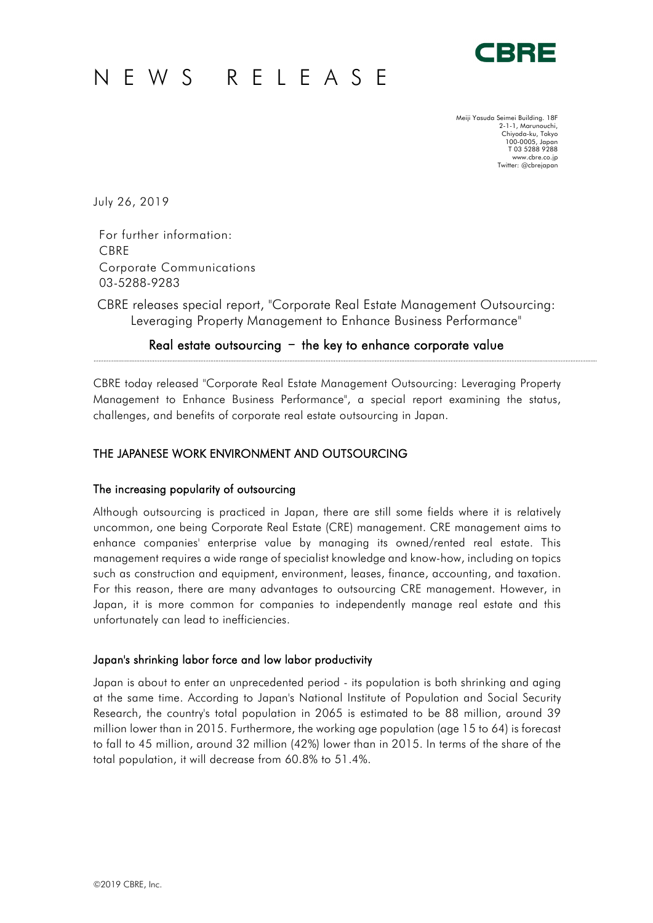# NEWS RELEASE



Meiji Yasuda Seimei Building. 18F 2-1-1, Marunouchi, Chiyoda-ku, Tokyo 100-0005, Japan T 03 5288 9288 www.cbre.co.jp Twitter: @cbrejapan

July 26, 2019

For further information: CBRE Corporate Communications 03-5288-9283

CBRE releases special report, "Corporate Real Estate Management Outsourcing: Leveraging Property Management to Enhance Business Performance"

## Real estate outsourcing  $-$  the key to enhance corporate value

CBRE today released "Corporate Real Estate Management Outsourcing: Leveraging Property Management to Enhance Business Performance", a special report examining the status, challenges, and benefits of corporate real estate outsourcing in Japan.

## THE JAPANESE WORK ENVIRONMENT AND OUTSOURCING

## The increasing popularity of outsourcing

Although outsourcing is practiced in Japan, there are still some fields where it is relatively uncommon, one being Corporate Real Estate (CRE) management. CRE management aims to enhance companies' enterprise value by managing its owned/rented real estate. This management requires a wide range of specialist knowledge and know-how, including on topics such as construction and equipment, environment, leases, finance, accounting, and taxation. For this reason, there are many advantages to outsourcing CRE management. However, in Japan, it is more common for companies to independently manage real estate and this unfortunately can lead to inefficiencies.

## Japan's shrinking labor force and low labor productivity

Japan is about to enter an unprecedented period - its population is both shrinking and aging at the same time. According to Japan's National Institute of Population and Social Security Research, the country's total population in 2065 is estimated to be 88 million, around 39 million lower than in 2015. Furthermore, the working age population (age 15 to 64) is forecast to fall to 45 million, around 32 million (42%) lower than in 2015. In terms of the share of the total population, it will decrease from 60.8% to 51.4%.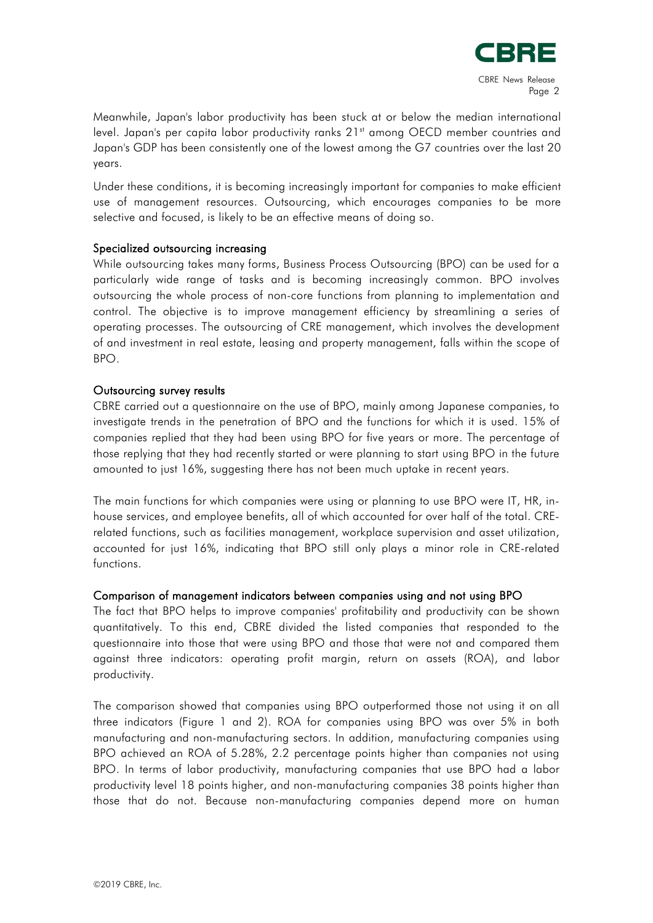

Meanwhile, Japan's labor productivity has been stuck at or below the median international level. Japan's per capita labor productivity ranks 21<sup>st</sup> among OECD member countries and Japan's GDP has been consistently one of the lowest among the G7 countries over the last 20 years.

Under these conditions, it is becoming increasingly important for companies to make efficient use of management resources. Outsourcing, which encourages companies to be more selective and focused, is likely to be an effective means of doing so.

## Specialized outsourcing increasing

While outsourcing takes many forms, Business Process Outsourcing (BPO) can be used for a particularly wide range of tasks and is becoming increasingly common. BPO involves outsourcing the whole process of non-core functions from planning to implementation and control. The objective is to improve management efficiency by streamlining a series of operating processes. The outsourcing of CRE management, which involves the development of and investment in real estate, leasing and property management, falls within the scope of BPO.

### Outsourcing survey results

CBRE carried out a questionnaire on the use of BPO, mainly among Japanese companies, to investigate trends in the penetration of BPO and the functions for which it is used. 15% of companies replied that they had been using BPO for five years or more. The percentage of those replying that they had recently started or were planning to start using BPO in the future amounted to just 16%, suggesting there has not been much uptake in recent years.

The main functions for which companies were using or planning to use BPO were IT, HR, inhouse services, and employee benefits, all of which accounted for over half of the total. CRErelated functions, such as facilities management, workplace supervision and asset utilization, accounted for just 16%, indicating that BPO still only plays a minor role in CRE-related functions.

#### Comparison of management indicators between companies using and not using BPO

The fact that BPO helps to improve companies' profitability and productivity can be shown quantitatively. To this end, CBRE divided the listed companies that responded to the questionnaire into those that were using BPO and those that were not and compared them against three indicators: operating profit margin, return on assets (ROA), and labor productivity.

The comparison showed that companies using BPO outperformed those not using it on all three indicators (Figure 1 and 2). ROA for companies using BPO was over 5% in both manufacturing and non-manufacturing sectors. In addition, manufacturing companies using BPO achieved an ROA of 5.28%, 2.2 percentage points higher than companies not using BPO. In terms of labor productivity, manufacturing companies that use BPO had a labor productivity level 18 points higher, and non-manufacturing companies 38 points higher than those that do not. Because non-manufacturing companies depend more on human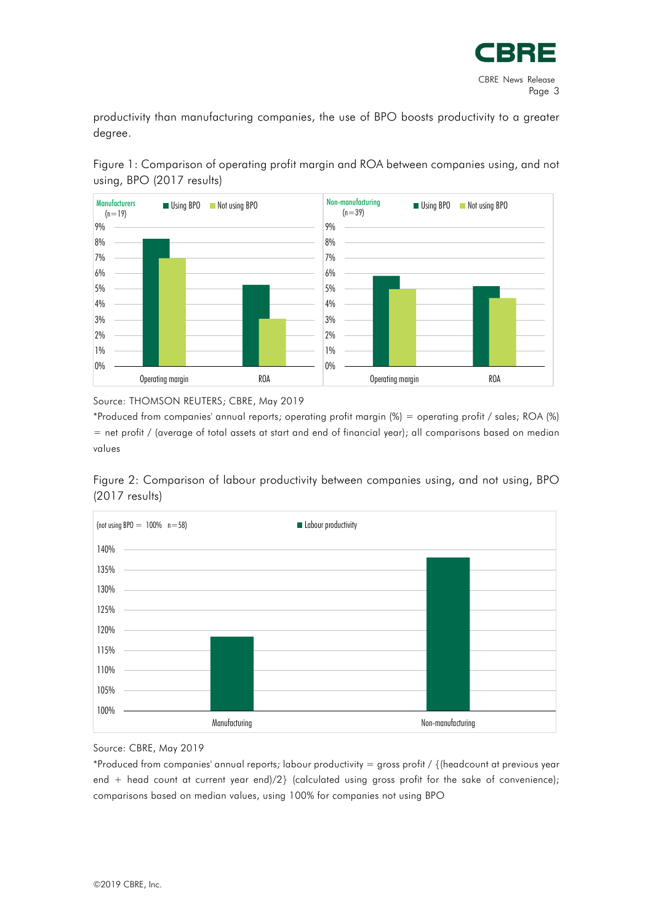

productivity than manufacturing companies, the use of BPO boosts productivity to a greater degree.





Source: THOMSON REUTERS; CBRE, May 2019

\*Produced from companies' annual reports; operating profit margin (%) = operating profit / sales; ROA (%) = net profit / (average of total assets at start and end of financial year); all comparisons based on median values

Figure 2: Comparison of labour productivity between companies using, and not using, BPO (2017 results)



Source: CBRE, May 2019

\*Produced from companies' annual reports; labour productivity = gross profit / {(headcount at previous year end + head count at current year end)/2} (calculated using gross profit for the sake of convenience); comparisons based on median values, using 100% for companies not using BPO